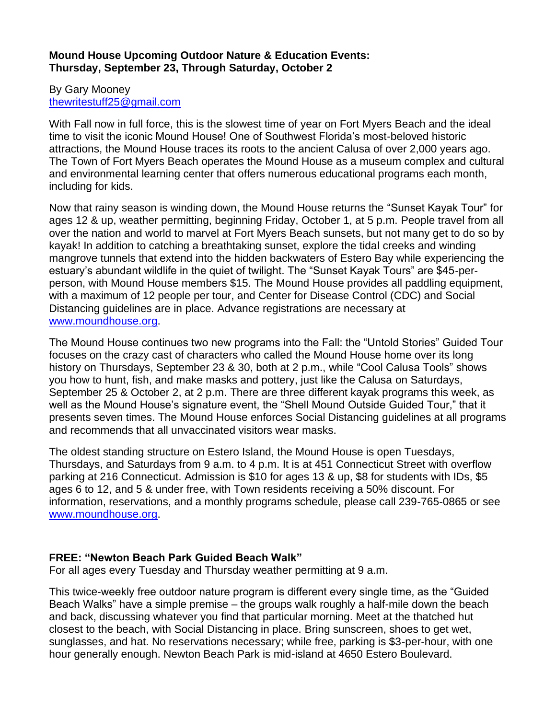### **Mound House Upcoming Outdoor Nature & Education Events: Thursday, September 23, Through Saturday, October 2**

#### By Gary Mooney [thewritestuff25@gmail.com](mailto:thewritestuff25@gmail.com)

With Fall now in full force, this is the slowest time of year on Fort Myers Beach and the ideal time to visit the iconic Mound House! One of Southwest Florida's most-beloved historic attractions, the Mound House traces its roots to the ancient Calusa of over 2,000 years ago. The Town of Fort Myers Beach operates the Mound House as a museum complex and cultural and environmental learning center that offers numerous educational programs each month, including for kids.

Now that rainy season is winding down, the Mound House returns the "Sunset Kayak Tour" for ages 12 & up, weather permitting, beginning Friday, October 1, at 5 p.m. People travel from all over the nation and world to marvel at Fort Myers Beach sunsets, but not many get to do so by kayak! In addition to catching a breathtaking sunset, explore the tidal creeks and winding mangrove tunnels that extend into the hidden backwaters of Estero Bay while experiencing the estuary's abundant wildlife in the quiet of twilight. The "Sunset Kayak Tours" are \$45-perperson, with Mound House members \$15. The Mound House provides all paddling equipment, with a maximum of 12 people per tour, and Center for Disease Control (CDC) and Social Distancing guidelines are in place. Advance registrations are necessary at [www.moundhouse.org.](http://www.moundhouse.org/)

The Mound House continues two new programs into the Fall: the "Untold Stories" Guided Tour focuses on the crazy cast of characters who called the Mound House home over its long history on Thursdays, September 23 & 30, both at 2 p.m., while "Cool Calusa Tools" shows you how to hunt, fish, and make masks and pottery, just like the Calusa on Saturdays, September 25 & October 2, at 2 p.m. There are three different kayak programs this week, as well as the Mound House's signature event, the "Shell Mound Outside Guided Tour," that it presents seven times. The Mound House enforces Social Distancing guidelines at all programs and recommends that all unvaccinated visitors wear masks.

The oldest standing structure on Estero Island, the Mound House is open Tuesdays, Thursdays, and Saturdays from 9 a.m. to 4 p.m. It is at 451 Connecticut Street with overflow parking at 216 Connecticut. Admission is \$10 for ages 13 & up, \$8 for students with IDs, \$5 ages 6 to 12, and 5 & under free, with Town residents receiving a 50% discount. For information, reservations, and a monthly programs schedule, please call 239-765-0865 or see [www.moundhouse.org.](http://www.moundhouse.org/)

# **FREE: "Newton Beach Park Guided Beach Walk"**

For all ages every Tuesday and Thursday weather permitting at 9 a.m.

This twice-weekly free outdoor nature program is different every single time, as the "Guided Beach Walks" have a simple premise – the groups walk roughly a half-mile down the beach and back, discussing whatever you find that particular morning. Meet at the thatched hut closest to the beach, with Social Distancing in place. Bring sunscreen, shoes to get wet, sunglasses, and hat. No reservations necessary; while free, parking is \$3-per-hour, with one hour generally enough. Newton Beach Park is mid-island at 4650 Estero Boulevard.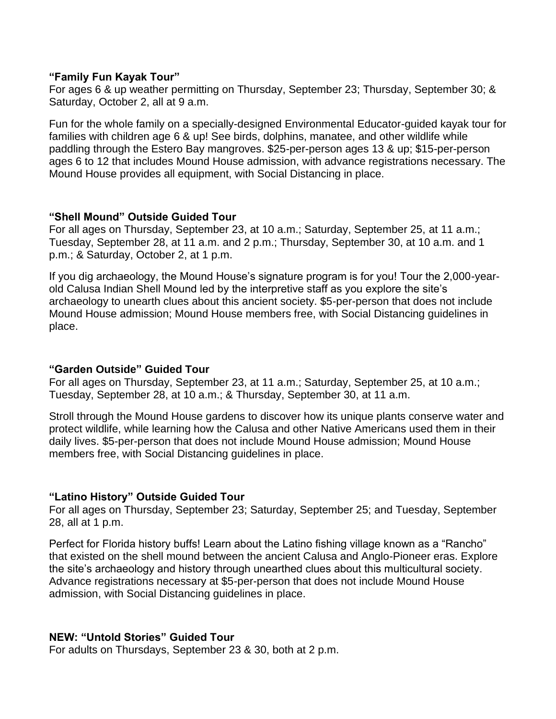### **"Family Fun Kayak Tour"**

For ages 6 & up weather permitting on Thursday, September 23; Thursday, September 30; & Saturday, October 2, all at 9 a.m.

Fun for the whole family on a specially-designed Environmental Educator-guided kayak tour for families with children age 6 & up! See birds, dolphins, manatee, and other wildlife while paddling through the Estero Bay mangroves. \$25-per-person ages 13 & up; \$15-per-person ages 6 to 12 that includes Mound House admission, with advance registrations necessary. The Mound House provides all equipment, with Social Distancing in place.

### **"Shell Mound" Outside Guided Tour**

For all ages on Thursday, September 23, at 10 a.m.; Saturday, September 25, at 11 a.m.; Tuesday, September 28, at 11 a.m. and 2 p.m.; Thursday, September 30, at 10 a.m. and 1 p.m.; & Saturday, October 2, at 1 p.m.

If you dig archaeology, the Mound House's signature program is for you! Tour the 2,000-yearold Calusa Indian Shell Mound led by the interpretive staff as you explore the site's archaeology to unearth clues about this ancient society. \$5-per-person that does not include Mound House admission; Mound House members free, with Social Distancing guidelines in place.

# **"Garden Outside" Guided Tour**

For all ages on Thursday, September 23, at 11 a.m.; Saturday, September 25, at 10 a.m.; Tuesday, September 28, at 10 a.m.; & Thursday, September 30, at 11 a.m.

Stroll through the Mound House gardens to discover how its unique plants conserve water and protect wildlife, while learning how the Calusa and other Native Americans used them in their daily lives. \$5-per-person that does not include Mound House admission; Mound House members free, with Social Distancing guidelines in place.

# **"Latino History" Outside Guided Tour**

For all ages on Thursday, September 23; Saturday, September 25; and Tuesday, September 28, all at 1 p.m.

Perfect for Florida history buffs! Learn about the Latino fishing village known as a "Rancho" that existed on the shell mound between the ancient Calusa and Anglo-Pioneer eras. Explore the site's archaeology and history through unearthed clues about this multicultural society. Advance registrations necessary at \$5-per-person that does not include Mound House admission, with Social Distancing guidelines in place.

# **NEW: "Untold Stories" Guided Tour**

For adults on Thursdays, September 23 & 30, both at 2 p.m.